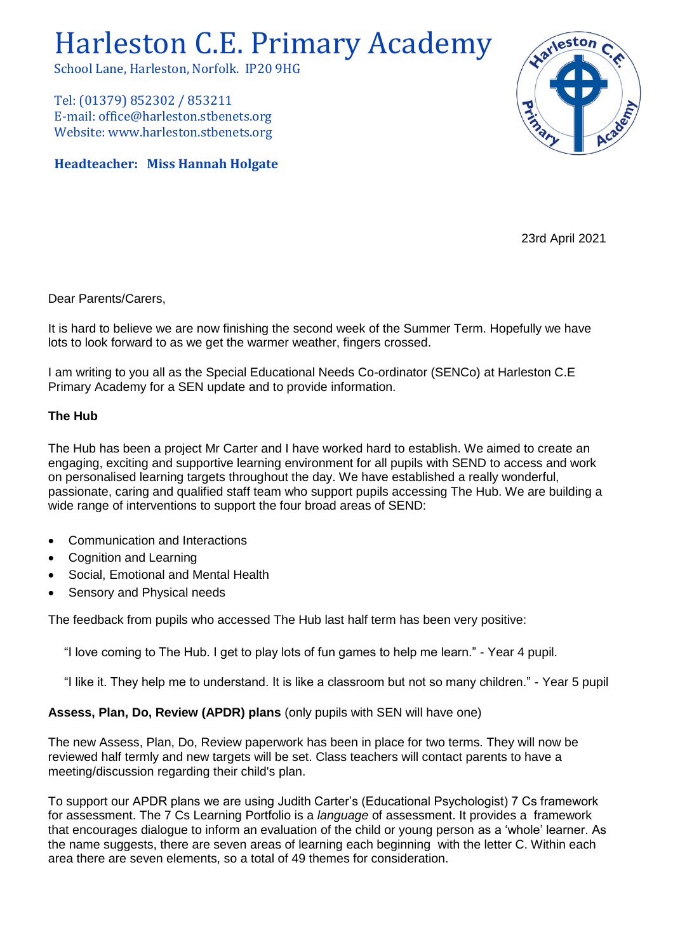# Harleston C.E. Primary Academy

School Lane, Harleston, Norfolk. IP20 9HG

Tel: (01379) 852302 / 853211 E-mail: office@harleston.stbenets.org Website: www.harleston.stbenets.org

# **Headteacher: Miss Hannah Holgate**



23rd April 2021

Dear Parents/Carers,

It is hard to believe we are now finishing the second week of the Summer Term. Hopefully we have lots to look forward to as we get the warmer weather, fingers crossed.

I am writing to you all as the Special Educational Needs Co-ordinator (SENCo) at Harleston C.E Primary Academy for a SEN update and to provide information.

### **The Hub**

The Hub has been a project Mr Carter and I have worked hard to establish. We aimed to create an engaging, exciting and supportive learning environment for all pupils with SEND to access and work on personalised learning targets throughout the day. We have established a really wonderful, passionate, caring and qualified staff team who support pupils accessing The Hub. We are building a wide range of interventions to support the four broad areas of SEND:

- Communication and Interactions
- Cognition and Learning
- Social, Emotional and Mental Health
- Sensory and Physical needs

The feedback from pupils who accessed The Hub last half term has been very positive:

"I love coming to The Hub. I get to play lots of fun games to help me learn." - Year 4 pupil.

"I like it. They help me to understand. It is like a classroom but not so many children." - Year 5 pupil

# **Assess, Plan, Do, Review (APDR) plans** (only pupils with SEN will have one)

The new Assess, Plan, Do, Review paperwork has been in place for two terms. They will now be reviewed half termly and new targets will be set. Class teachers will contact parents to have a meeting/discussion regarding their child's plan.

To support our APDR plans we are using Judith Carter's (Educational Psychologist) 7 Cs framework for assessment. The 7 Cs Learning Portfolio is a *language* of assessment. It provides a framework that encourages dialogue to inform an evaluation of the child or young person as a 'whole' learner. As the name suggests, there are seven areas of learning each beginning with the letter C. Within each area there are seven elements, so a total of 49 themes for consideration.